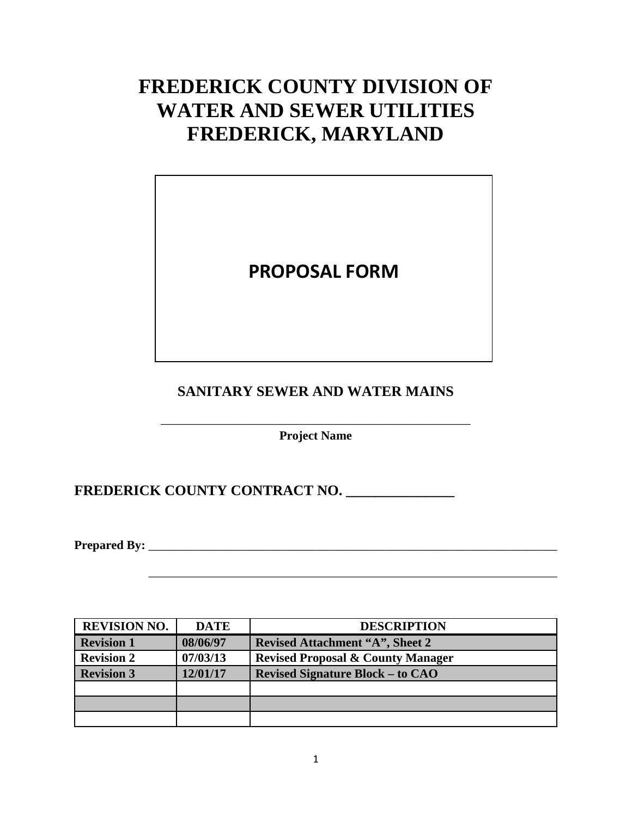# **FREDERICK COUNTY DIVISION OF WATER AND SEWER UTILITIES FREDERICK, MARYLAND**

## **PROPOSAL FORM**

## **SANITARY SEWER AND WATER MAINS**

\_\_\_\_\_\_\_\_\_\_\_\_\_\_\_\_\_\_\_\_\_\_\_\_\_\_\_\_\_\_\_\_\_\_\_\_\_\_\_\_\_\_\_\_\_\_\_\_\_\_ **Project Name**

**FREDERICK COUNTY CONTRACT NO. \_\_\_\_\_\_\_\_\_\_\_\_\_\_\_**

**Prepared By:** \_\_\_\_\_\_\_\_\_\_\_\_\_\_\_\_\_\_\_\_\_\_\_\_\_\_\_\_\_\_\_\_\_\_\_\_\_\_\_\_\_\_\_\_\_\_\_\_\_\_\_\_\_\_\_\_\_\_\_\_\_\_\_\_\_\_

| <b>REVISION NO.</b> | <b>DATE</b> | <b>DESCRIPTION</b>                           |
|---------------------|-------------|----------------------------------------------|
| <b>Revision 1</b>   | 08/06/97    | <b>Revised Attachment "A", Sheet 2</b>       |
| <b>Revision 2</b>   | 07/03/13    | <b>Revised Proposal &amp; County Manager</b> |
| <b>Revision 3</b>   | 12/01/17    | <b>Revised Signature Block – to CAO</b>      |
|                     |             |                                              |
|                     |             |                                              |
|                     |             |                                              |

\_\_\_\_\_\_\_\_\_\_\_\_\_\_\_\_\_\_\_\_\_\_\_\_\_\_\_\_\_\_\_\_\_\_\_\_\_\_\_\_\_\_\_\_\_\_\_\_\_\_\_\_\_\_\_\_\_\_\_\_\_\_\_\_\_\_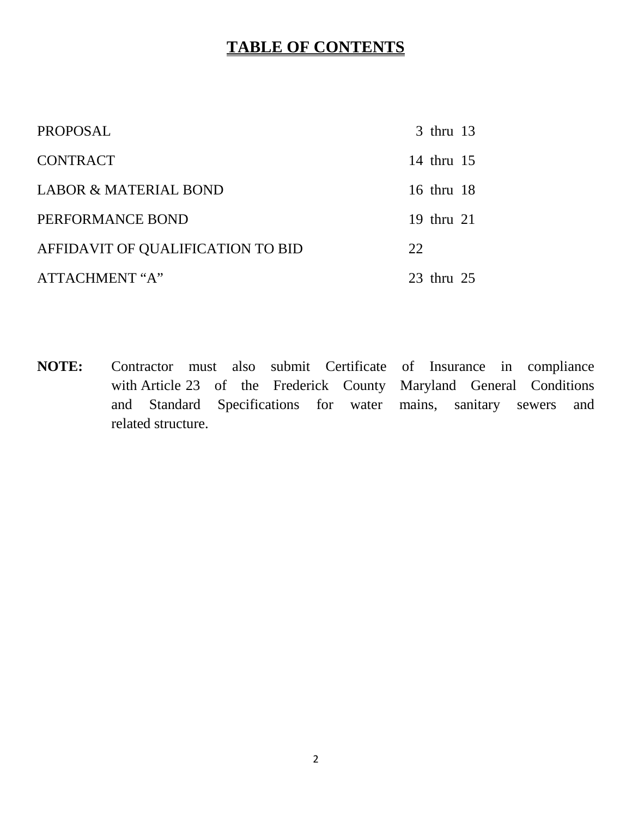## **TABLE OF CONTENTS**

| PROPOSAL                          | 3 thru 13  |  |
|-----------------------------------|------------|--|
| <b>CONTRACT</b>                   | 14 thru 15 |  |
| <b>LABOR &amp; MATERIAL BOND</b>  | 16 thru 18 |  |
| PERFORMANCE BOND                  | 19 thru 21 |  |
| AFFIDAVIT OF QUALIFICATION TO BID | 22         |  |
| ATTACHMENT "A"                    | 23 thru 25 |  |

**NOTE:** Contractor must also submit Certificate of Insurance in compliance with Article 23 of the Frederick County Maryland General Conditions and Standard Specifications for water mains, sanitary sewers and related structure.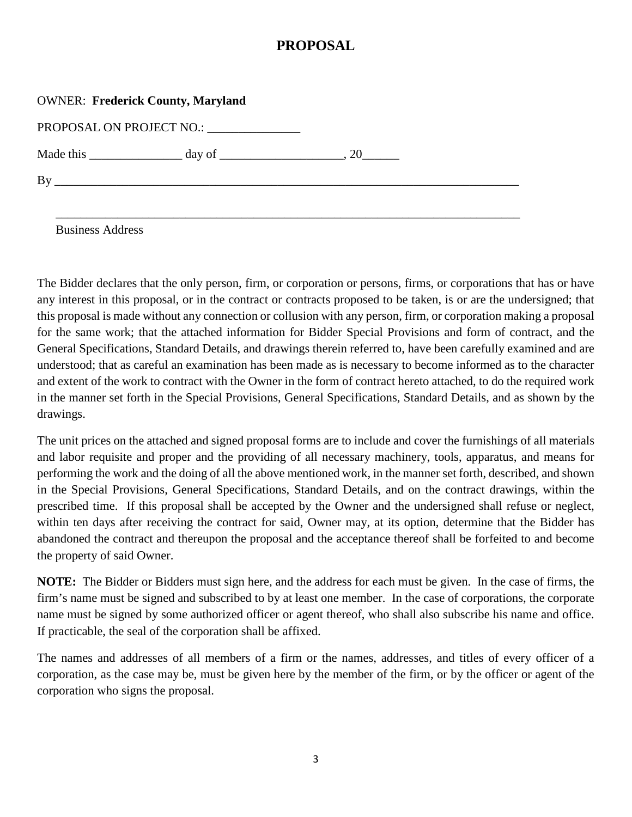## **PROPOSAL**

| <b>OWNER: Frederick County, Maryland</b> |                                                       |  |  |
|------------------------------------------|-------------------------------------------------------|--|--|
| PROPOSAL ON PROJECT NO.:                 |                                                       |  |  |
|                                          | Made this $\_\_\_\_\_\_$ day of $\_\_\_\_\_\_\_$ , 20 |  |  |
|                                          |                                                       |  |  |
|                                          |                                                       |  |  |

Business Address

The Bidder declares that the only person, firm, or corporation or persons, firms, or corporations that has or have any interest in this proposal, or in the contract or contracts proposed to be taken, is or are the undersigned; that this proposal is made without any connection or collusion with any person, firm, or corporation making a proposal for the same work; that the attached information for Bidder Special Provisions and form of contract, and the General Specifications, Standard Details, and drawings therein referred to, have been carefully examined and are understood; that as careful an examination has been made as is necessary to become informed as to the character and extent of the work to contract with the Owner in the form of contract hereto attached, to do the required work in the manner set forth in the Special Provisions, General Specifications, Standard Details, and as shown by the drawings.

The unit prices on the attached and signed proposal forms are to include and cover the furnishings of all materials and labor requisite and proper and the providing of all necessary machinery, tools, apparatus, and means for performing the work and the doing of all the above mentioned work, in the manner set forth, described, and shown in the Special Provisions, General Specifications, Standard Details, and on the contract drawings, within the prescribed time. If this proposal shall be accepted by the Owner and the undersigned shall refuse or neglect, within ten days after receiving the contract for said, Owner may, at its option, determine that the Bidder has abandoned the contract and thereupon the proposal and the acceptance thereof shall be forfeited to and become the property of said Owner.

**NOTE:** The Bidder or Bidders must sign here, and the address for each must be given. In the case of firms, the firm's name must be signed and subscribed to by at least one member. In the case of corporations, the corporate name must be signed by some authorized officer or agent thereof, who shall also subscribe his name and office. If practicable, the seal of the corporation shall be affixed.

The names and addresses of all members of a firm or the names, addresses, and titles of every officer of a corporation, as the case may be, must be given here by the member of the firm, or by the officer or agent of the corporation who signs the proposal.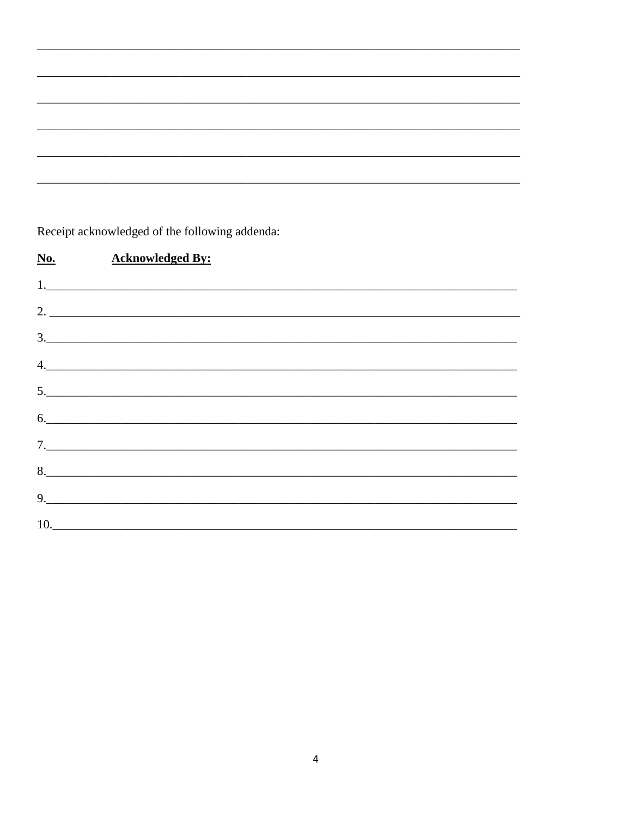Receipt acknowledged of the following addenda:

| $N_0$ . | <b>Acknowledged By:</b>                                                                                                                                                                                                                                                                                                                                                                                                                                                                                                                              |  |
|---------|------------------------------------------------------------------------------------------------------------------------------------------------------------------------------------------------------------------------------------------------------------------------------------------------------------------------------------------------------------------------------------------------------------------------------------------------------------------------------------------------------------------------------------------------------|--|
|         |                                                                                                                                                                                                                                                                                                                                                                                                                                                                                                                                                      |  |
|         | 2.                                                                                                                                                                                                                                                                                                                                                                                                                                                                                                                                                   |  |
|         | $\begin{array}{c} \hline \text{3.} \end{array}$                                                                                                                                                                                                                                                                                                                                                                                                                                                                                                      |  |
|         | $\begin{array}{c} \n4. \quad \text{---} \quad \text{---} \quad \text{---} \quad \text{---} \quad \text{---} \quad \text{---} \quad \text{---} \quad \text{---} \quad \text{---} \quad \text{---} \quad \text{---} \quad \text{---} \quad \text{---} \quad \text{---} \quad \text{---} \quad \text{---} \quad \text{---} \quad \text{---} \quad \text{---} \quad \text{---} \quad \text{---} \quad \text{---} \quad \text{---} \quad \text{---} \quad \text{---} \quad \text{---} \quad \text{---} \quad \text{---} \quad \text{---} \quad \text{---$ |  |
|         | 5.                                                                                                                                                                                                                                                                                                                                                                                                                                                                                                                                                   |  |
|         | 6.                                                                                                                                                                                                                                                                                                                                                                                                                                                                                                                                                   |  |
|         | 7.                                                                                                                                                                                                                                                                                                                                                                                                                                                                                                                                                   |  |
|         | 8.                                                                                                                                                                                                                                                                                                                                                                                                                                                                                                                                                   |  |
|         | 9. $\qquad \qquad$                                                                                                                                                                                                                                                                                                                                                                                                                                                                                                                                   |  |
|         | 10.                                                                                                                                                                                                                                                                                                                                                                                                                                                                                                                                                  |  |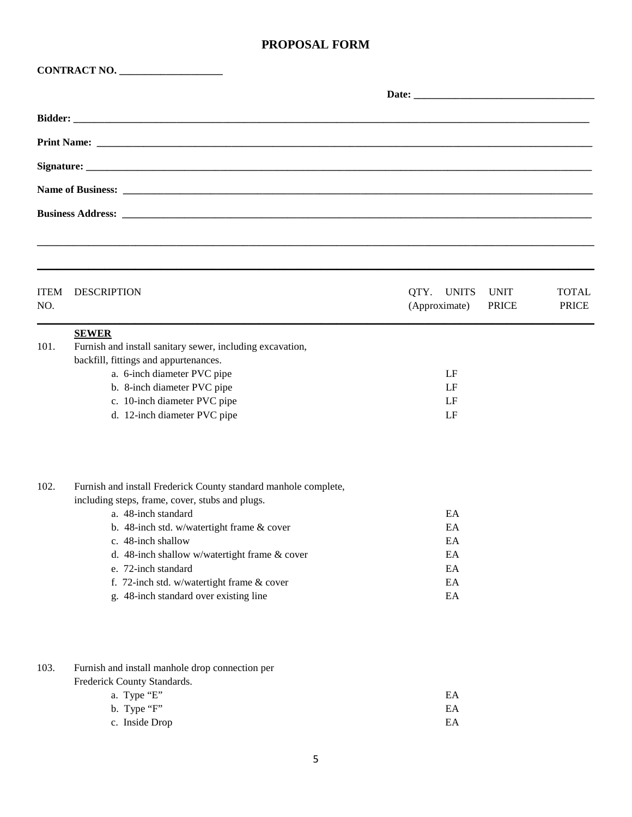| <b>ITEM</b><br>NO. | <b>DESCRIPTION</b>                                                                                                                                                                                                                                                                                                                                                            | QTY.<br><b>UNITS</b><br><b>UNIT</b><br>(Approximate)<br><b>PRICE</b> | <b>TOTAL</b><br><b>PRICE</b> |
|--------------------|-------------------------------------------------------------------------------------------------------------------------------------------------------------------------------------------------------------------------------------------------------------------------------------------------------------------------------------------------------------------------------|----------------------------------------------------------------------|------------------------------|
| 101.               | <b>SEWER</b><br>Furnish and install sanitary sewer, including excavation,<br>backfill, fittings and appurtenances.<br>a. 6-inch diameter PVC pipe<br>b. 8-inch diameter PVC pipe<br>c. 10-inch diameter PVC pipe<br>d. 12-inch diameter PVC pipe                                                                                                                              | LF<br>LF<br>LF<br>LF                                                 |                              |
| 102.               | Furnish and install Frederick County standard manhole complete,<br>including steps, frame, cover, stubs and plugs.<br>a. 48-inch standard<br>b. 48-inch std. w/watertight frame & cover<br>c. 48-inch shallow<br>d. 48-inch shallow w/watertight frame & cover<br>e. 72-inch standard<br>f. 72-inch std. w/watertight frame & cover<br>g. 48-inch standard over existing line | EA<br>EA<br>EA<br>EA<br>EA<br>EA<br>EA                               |                              |
| 103.               | Furnish and install manhole drop connection per<br>Frederick County Standards.<br>a. Type "E"<br>b. Type "F"<br>c. Inside Drop                                                                                                                                                                                                                                                | EA<br>EA<br>EA                                                       |                              |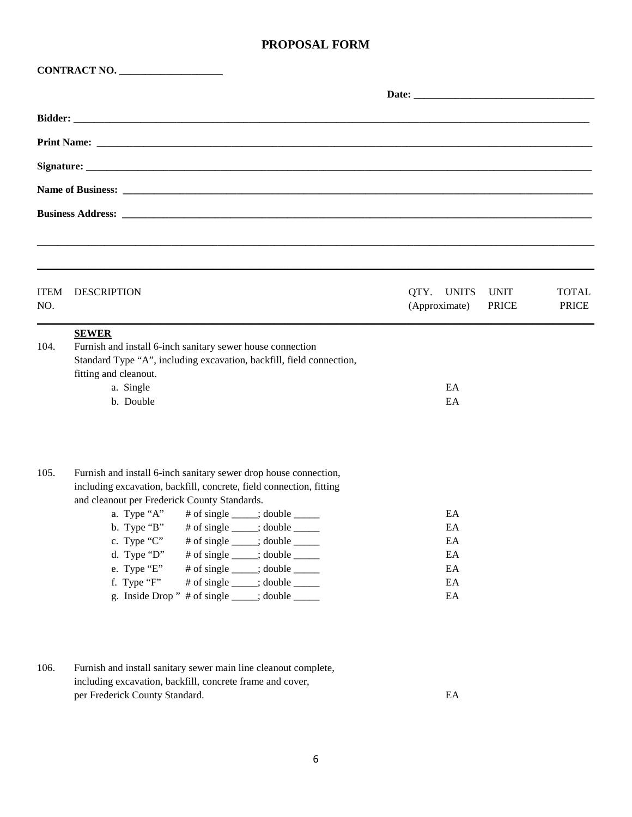|                    | CONTRACT NO.                                                                                                                                                                                                                                                                                                                                                                                                                                                                                                                                                                      |                                                            |                              |
|--------------------|-----------------------------------------------------------------------------------------------------------------------------------------------------------------------------------------------------------------------------------------------------------------------------------------------------------------------------------------------------------------------------------------------------------------------------------------------------------------------------------------------------------------------------------------------------------------------------------|------------------------------------------------------------|------------------------------|
|                    |                                                                                                                                                                                                                                                                                                                                                                                                                                                                                                                                                                                   |                                                            |                              |
|                    |                                                                                                                                                                                                                                                                                                                                                                                                                                                                                                                                                                                   |                                                            |                              |
|                    |                                                                                                                                                                                                                                                                                                                                                                                                                                                                                                                                                                                   |                                                            |                              |
|                    |                                                                                                                                                                                                                                                                                                                                                                                                                                                                                                                                                                                   |                                                            |                              |
|                    |                                                                                                                                                                                                                                                                                                                                                                                                                                                                                                                                                                                   |                                                            |                              |
|                    |                                                                                                                                                                                                                                                                                                                                                                                                                                                                                                                                                                                   |                                                            |                              |
|                    |                                                                                                                                                                                                                                                                                                                                                                                                                                                                                                                                                                                   |                                                            |                              |
| <b>ITEM</b><br>NO. | <b>DESCRIPTION</b>                                                                                                                                                                                                                                                                                                                                                                                                                                                                                                                                                                | QTY. UNITS<br><b>UNIT</b><br><b>PRICE</b><br>(Approximate) | <b>TOTAL</b><br><b>PRICE</b> |
| 104.               | <b>SEWER</b><br>Furnish and install 6-inch sanitary sewer house connection<br>Standard Type "A", including excavation, backfill, field connection,<br>fitting and cleanout.<br>a. Single<br>b. Double                                                                                                                                                                                                                                                                                                                                                                             | EA<br>EA                                                   |                              |
| 105.               | Furnish and install 6-inch sanitary sewer drop house connection,<br>including excavation, backfill, concrete, field connection, fitting<br>and cleanout per Frederick County Standards.<br>a. Type "A" $\#$ of single ____; double _____<br>b. Type "B"<br># of single $\_\_\_\$ ; double $\_\_\_\_\_\$<br>c. Type "C"<br># of single ____; double _____<br>d. Type " $D$ "<br># of single ____; double _____<br>e. Type "E"<br># of single ____; double _____<br>f. Type "F"<br># of single ____; double _____<br>g. Inside Drop " $\#$ of single $\_\_\_\$ ; double $\_\_\_\_\$ | EA<br>EA<br>EA<br>EA<br>EA<br>EA<br>EA                     |                              |
| 106.               | Furnish and install sanitary sewer main line cleanout complete,<br>including excavation, backfill, concrete frame and cover,                                                                                                                                                                                                                                                                                                                                                                                                                                                      |                                                            |                              |

per Frederick County Standard. EA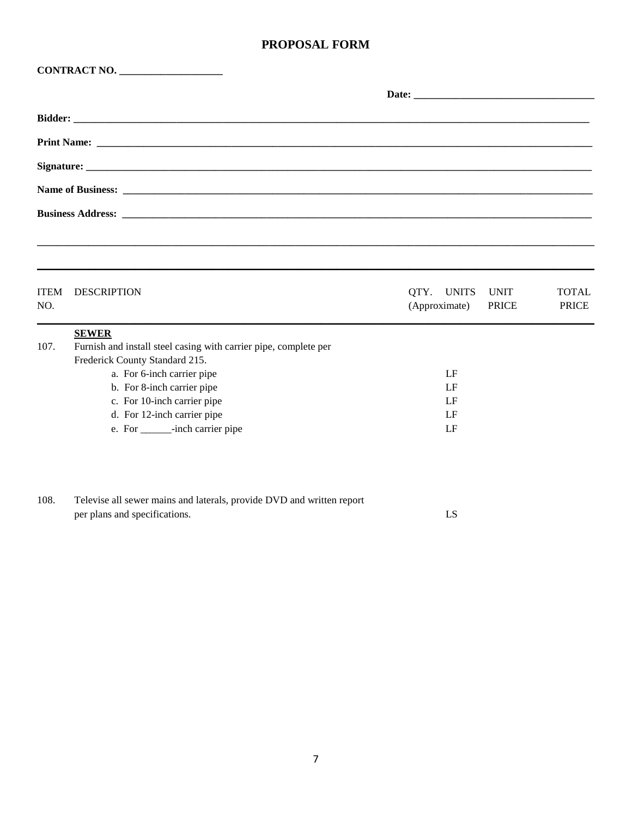|                    | CONTRACT NO.                                                                                       |                                                            |                              |
|--------------------|----------------------------------------------------------------------------------------------------|------------------------------------------------------------|------------------------------|
|                    |                                                                                                    |                                                            |                              |
|                    |                                                                                                    |                                                            |                              |
|                    |                                                                                                    |                                                            |                              |
|                    |                                                                                                    |                                                            |                              |
|                    |                                                                                                    |                                                            |                              |
|                    |                                                                                                    |                                                            |                              |
|                    |                                                                                                    |                                                            |                              |
|                    |                                                                                                    |                                                            |                              |
| <b>ITEM</b><br>NO. | <b>DESCRIPTION</b>                                                                                 | QTY. UNITS<br><b>UNIT</b><br>(Approximate)<br><b>PRICE</b> | <b>TOTAL</b><br><b>PRICE</b> |
|                    | <b>SEWER</b>                                                                                       |                                                            |                              |
| 107.               | Furnish and install steel casing with carrier pipe, complete per<br>Frederick County Standard 215. |                                                            |                              |
|                    | a. For 6-inch carrier pipe                                                                         | LF                                                         |                              |
|                    | b. For 8-inch carrier pipe                                                                         | LF                                                         |                              |
|                    | c. For 10-inch carrier pipe                                                                        | LF                                                         |                              |
|                    | d. For 12-inch carrier pipe                                                                        | LF                                                         |                              |
|                    | e. For _______-inch carrier pipe                                                                   | LF                                                         |                              |
|                    |                                                                                                    |                                                            |                              |

| 108 | Televise all sewer mains and laterals, provide DVD and written report |  |
|-----|-----------------------------------------------------------------------|--|
|     | per plans and specifications.                                         |  |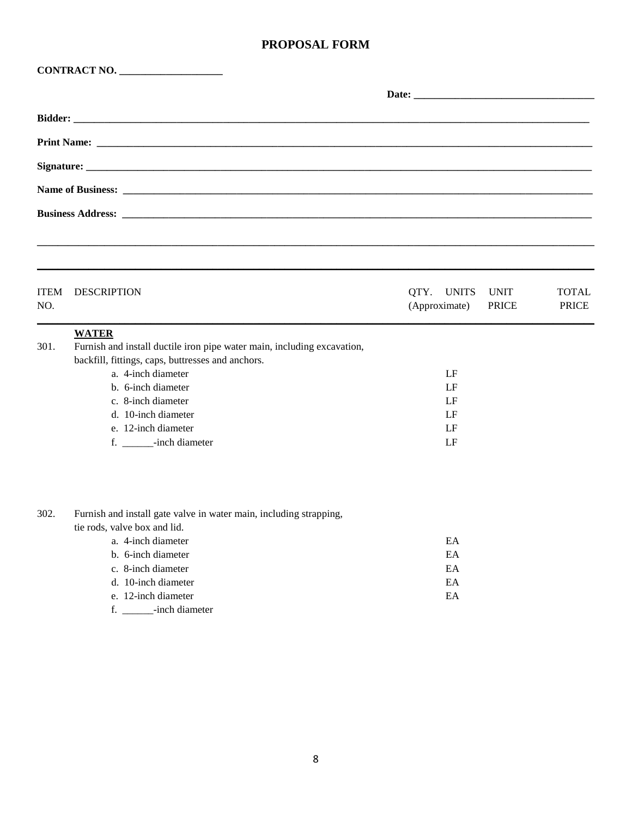|                    | CONTRACT NO.                                                                                                                                                                                                                                                                             |                                       |                             |                              |
|--------------------|------------------------------------------------------------------------------------------------------------------------------------------------------------------------------------------------------------------------------------------------------------------------------------------|---------------------------------------|-----------------------------|------------------------------|
|                    |                                                                                                                                                                                                                                                                                          | Date:                                 |                             |                              |
|                    |                                                                                                                                                                                                                                                                                          |                                       |                             |                              |
|                    |                                                                                                                                                                                                                                                                                          |                                       |                             |                              |
|                    |                                                                                                                                                                                                                                                                                          |                                       |                             |                              |
|                    |                                                                                                                                                                                                                                                                                          |                                       |                             |                              |
|                    |                                                                                                                                                                                                                                                                                          |                                       |                             |                              |
| <b>ITEM</b><br>NO. | <b>DESCRIPTION</b>                                                                                                                                                                                                                                                                       | QTY.<br><b>UNITS</b><br>(Approximate) | <b>UNIT</b><br><b>PRICE</b> | <b>TOTAL</b><br><b>PRICE</b> |
| 301.               | <b>WATER</b><br>Furnish and install ductile iron pipe water main, including excavation,<br>backfill, fittings, caps, buttresses and anchors.<br>a. 4-inch diameter<br>b. 6-inch diameter<br>c. 8-inch diameter<br>d. 10-inch diameter<br>e. 12-inch diameter<br>f. _______-inch diameter | LF<br>LF<br>LF<br>LF<br>LF<br>LF      |                             |                              |
| 302.               | Furnish and install gate valve in water main, including strapping,<br>tie rods, valve box and lid.<br>a. 4-inch diameter<br>b. 6-inch diameter<br>c. 8-inch diameter<br>d. 10-inch diameter<br>e. 12-inch diameter                                                                       | EA<br>EA<br>EA<br>EA<br>EA            |                             |                              |

f. \_\_\_\_\_\_-inch diameter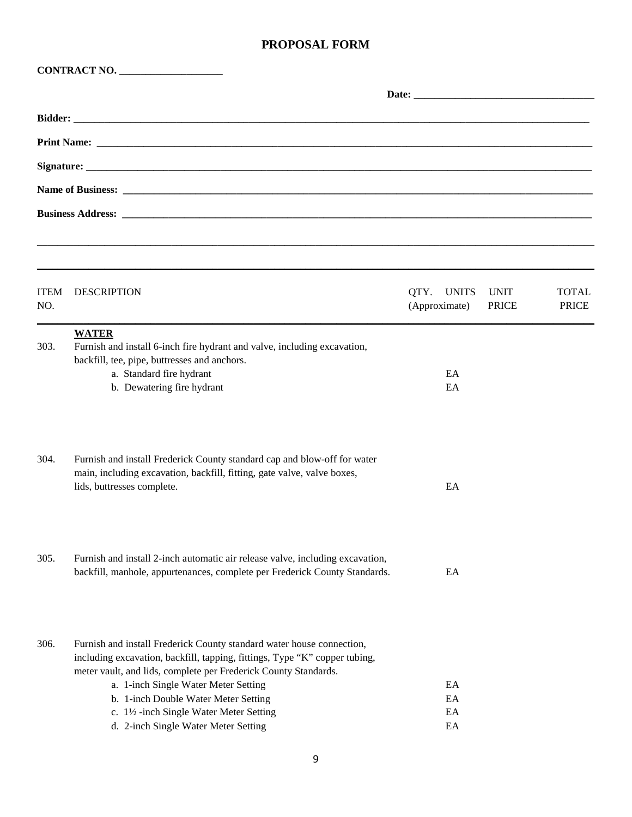|                    | CONTRACT NO.                                                                                                                                                                                                                                                                                                                                                                             |                                       |                             |                              |  |
|--------------------|------------------------------------------------------------------------------------------------------------------------------------------------------------------------------------------------------------------------------------------------------------------------------------------------------------------------------------------------------------------------------------------|---------------------------------------|-----------------------------|------------------------------|--|
|                    |                                                                                                                                                                                                                                                                                                                                                                                          |                                       |                             |                              |  |
|                    |                                                                                                                                                                                                                                                                                                                                                                                          |                                       |                             |                              |  |
|                    |                                                                                                                                                                                                                                                                                                                                                                                          |                                       |                             |                              |  |
|                    |                                                                                                                                                                                                                                                                                                                                                                                          |                                       |                             |                              |  |
|                    |                                                                                                                                                                                                                                                                                                                                                                                          |                                       |                             |                              |  |
|                    |                                                                                                                                                                                                                                                                                                                                                                                          |                                       |                             |                              |  |
| <b>ITEM</b><br>NO. | <b>DESCRIPTION</b>                                                                                                                                                                                                                                                                                                                                                                       | QTY.<br><b>UNITS</b><br>(Approximate) | <b>UNIT</b><br><b>PRICE</b> | <b>TOTAL</b><br><b>PRICE</b> |  |
| 303.               | <b>WATER</b><br>Furnish and install 6-inch fire hydrant and valve, including excavation,<br>backfill, tee, pipe, buttresses and anchors.<br>a. Standard fire hydrant<br>b. Dewatering fire hydrant                                                                                                                                                                                       | EA<br>EA                              |                             |                              |  |
| 304.               | Furnish and install Frederick County standard cap and blow-off for water<br>main, including excavation, backfill, fitting, gate valve, valve boxes,<br>lids, buttresses complete.                                                                                                                                                                                                        | EA                                    |                             |                              |  |
| 305.               | Furnish and install 2-inch automatic air release valve, including excavation,<br>backfill, manhole, appurtenances, complete per Frederick County Standards.                                                                                                                                                                                                                              | EA                                    |                             |                              |  |
| 306.               | Furnish and install Frederick County standard water house connection,<br>including excavation, backfill, tapping, fittings, Type "K" copper tubing,<br>meter vault, and lids, complete per Frederick County Standards.<br>a. 1-inch Single Water Meter Setting<br>b. 1-inch Double Water Meter Setting<br>c. 1½ -inch Single Water Meter Setting<br>d. 2-inch Single Water Meter Setting | EA<br>EA<br>EA<br>EA                  |                             |                              |  |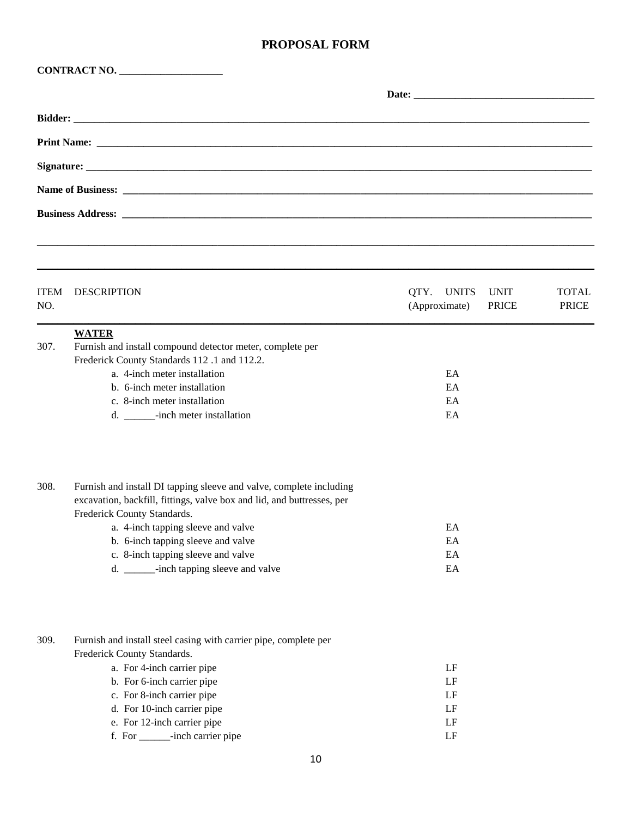| <b>ITEM</b><br>NO. | <b>DESCRIPTION</b>                                                                                                                                                                                                                                                                                                                        | <b>UNITS</b><br>QTY.<br><b>UNIT</b><br>(Approximate)<br><b>PRICE</b> | <b>TOTAL</b><br><b>PRICE</b> |
|--------------------|-------------------------------------------------------------------------------------------------------------------------------------------------------------------------------------------------------------------------------------------------------------------------------------------------------------------------------------------|----------------------------------------------------------------------|------------------------------|
| 307.               | <b>WATER</b><br>Furnish and install compound detector meter, complete per<br>Frederick County Standards 112.1 and 112.2.<br>a. 4-inch meter installation<br>b. 6-inch meter installation<br>c. 8-inch meter installation<br>d. _______-inch meter installation                                                                            | EA<br>EA<br>EA<br>EA                                                 |                              |
| 308.               | Furnish and install DI tapping sleeve and valve, complete including<br>excavation, backfill, fittings, valve box and lid, and buttresses, per<br>Frederick County Standards.<br>a. 4-inch tapping sleeve and valve<br>b. 6-inch tapping sleeve and valve<br>c. 8-inch tapping sleeve and valve<br>d. ______-inch tapping sleeve and valve | EA<br>EA<br>$\mathop{\rm EA}\nolimits$<br>$\mathop{\rm EA}\nolimits$ |                              |
| 309.               | Furnish and install steel casing with carrier pipe, complete per<br>Frederick County Standards.<br>a. For 4-inch carrier pipe<br>b. For 6-inch carrier pipe<br>c. For 8-inch carrier pipe<br>d. For 10-inch carrier pipe<br>e. For 12-inch carrier pipe<br>f. For _______-inch carrier pipe                                               | LF<br>LF<br>LF<br>LF<br>LF<br>LF                                     |                              |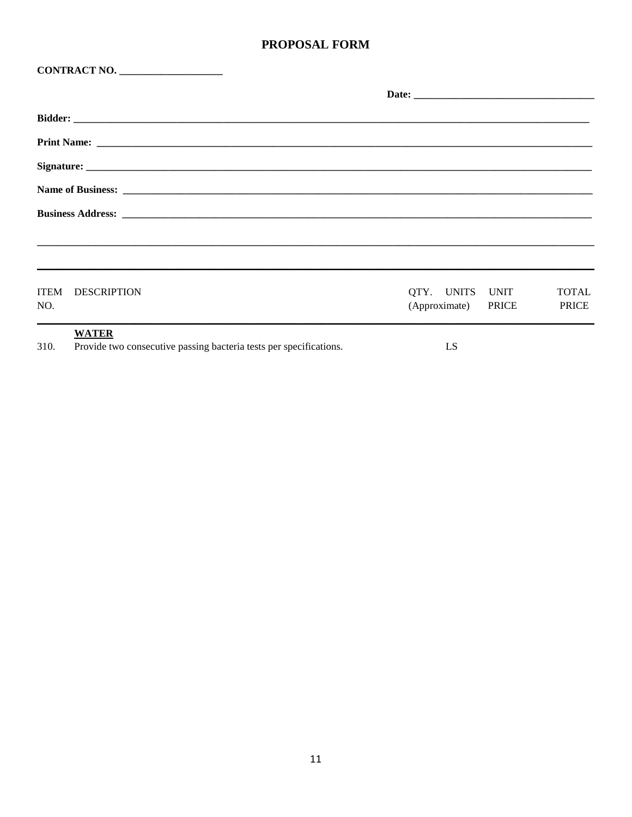|                    | CONTRACT NO.                                                       |                                        |                              |
|--------------------|--------------------------------------------------------------------|----------------------------------------|------------------------------|
|                    |                                                                    |                                        |                              |
|                    |                                                                    |                                        |                              |
|                    |                                                                    |                                        |                              |
|                    |                                                                    |                                        |                              |
|                    |                                                                    |                                        |                              |
|                    |                                                                    |                                        |                              |
|                    |                                                                    |                                        |                              |
|                    |                                                                    |                                        |                              |
| <b>ITEM</b><br>NO. | DESCRIPTION                                                        | QTY. UNITS UNIT<br>(Approximate) PRICE | <b>TOTAL</b><br><b>PRICE</b> |
|                    | <b>WATER</b>                                                       |                                        |                              |
| 310.               | Provide two consecutive passing bacteria tests per specifications. | LS.                                    |                              |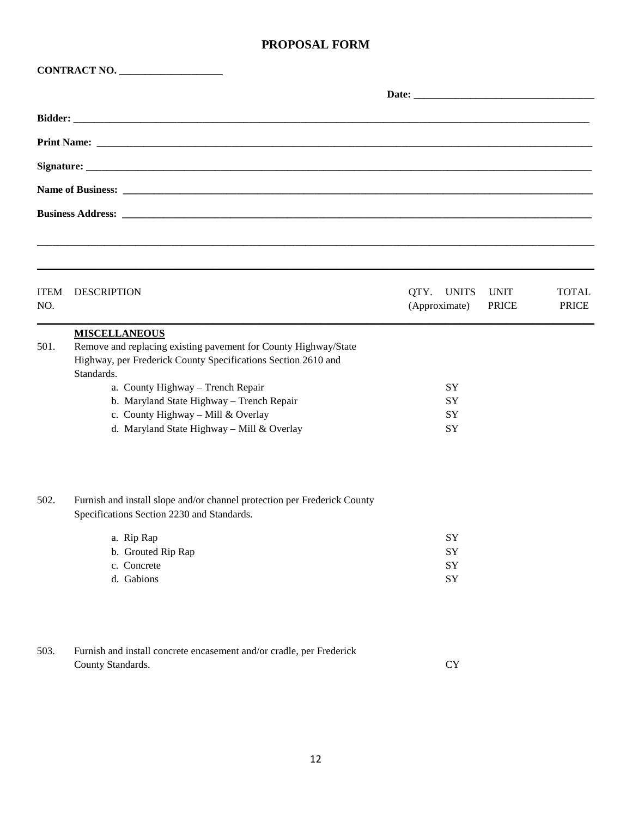| CONTRACT NO.       |                                                                                                                                                                                                                                                                                                                                              |                                       |                             |                              |  |  |
|--------------------|----------------------------------------------------------------------------------------------------------------------------------------------------------------------------------------------------------------------------------------------------------------------------------------------------------------------------------------------|---------------------------------------|-----------------------------|------------------------------|--|--|
|                    |                                                                                                                                                                                                                                                                                                                                              |                                       |                             |                              |  |  |
|                    |                                                                                                                                                                                                                                                                                                                                              |                                       |                             |                              |  |  |
|                    |                                                                                                                                                                                                                                                                                                                                              |                                       |                             |                              |  |  |
|                    |                                                                                                                                                                                                                                                                                                                                              |                                       |                             |                              |  |  |
|                    |                                                                                                                                                                                                                                                                                                                                              |                                       |                             |                              |  |  |
|                    |                                                                                                                                                                                                                                                                                                                                              |                                       |                             |                              |  |  |
| <b>ITEM</b><br>NO. | <b>DESCRIPTION</b>                                                                                                                                                                                                                                                                                                                           | QTY.<br><b>UNITS</b><br>(Approximate) | <b>UNIT</b><br><b>PRICE</b> | <b>TOTAL</b><br><b>PRICE</b> |  |  |
| 501.               | <b>MISCELLANEOUS</b><br>Remove and replacing existing pavement for County Highway/State<br>Highway, per Frederick County Specifications Section 2610 and<br>Standards.<br>a. County Highway - Trench Repair<br>b. Maryland State Highway - Trench Repair<br>c. County Highway - Mill & Overlay<br>d. Maryland State Highway - Mill & Overlay | SY<br>SY<br>SY<br>SY                  |                             |                              |  |  |
| 502.               | Furnish and install slope and/or channel protection per Frederick County<br>Specifications Section 2230 and Standards.<br>a. Rip Rap<br>b. Grouted Rip Rap<br>c. Concrete<br>d. Gabions                                                                                                                                                      | SY<br>SY<br>SY<br>${\rm SY}$          |                             |                              |  |  |
| 503.               | Furnish and install concrete encasement and/or cradle, per Frederick<br>County Standards.                                                                                                                                                                                                                                                    | CY                                    |                             |                              |  |  |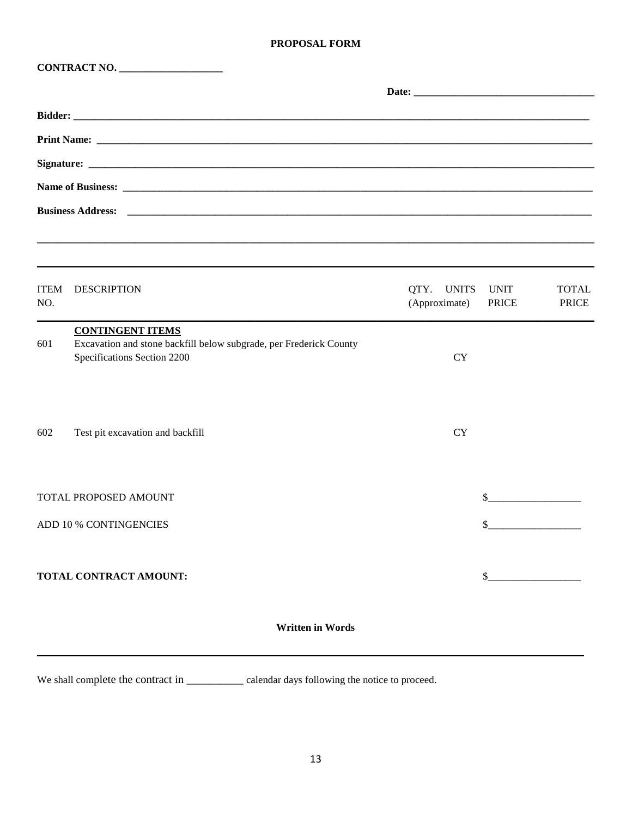|                    | CONTRACT NO.                                                                                      |                             |                             |                              |  |
|--------------------|---------------------------------------------------------------------------------------------------|-----------------------------|-----------------------------|------------------------------|--|
|                    |                                                                                                   |                             |                             |                              |  |
|                    |                                                                                                   |                             |                             |                              |  |
|                    |                                                                                                   |                             |                             |                              |  |
|                    |                                                                                                   |                             |                             |                              |  |
|                    |                                                                                                   |                             |                             |                              |  |
|                    | <b>Business Address:</b>                                                                          |                             |                             |                              |  |
|                    |                                                                                                   |                             |                             |                              |  |
| <b>ITEM</b><br>NO. | <b>DESCRIPTION</b>                                                                                | QTY. UNITS<br>(Approximate) | <b>UNIT</b><br><b>PRICE</b> | <b>TOTAL</b><br><b>PRICE</b> |  |
|                    | <b>CONTINGENT ITEMS</b>                                                                           |                             |                             |                              |  |
| 601                | Excavation and stone backfill below subgrade, per Frederick County<br>Specifications Section 2200 | <b>CY</b>                   |                             |                              |  |
|                    |                                                                                                   |                             |                             |                              |  |
| 602                | Test pit excavation and backfill                                                                  | <b>CY</b>                   |                             |                              |  |
|                    | TOTAL PROPOSED AMOUNT                                                                             |                             | \$                          |                              |  |
|                    | ADD 10 % CONTINGENCIES                                                                            |                             |                             |                              |  |
|                    |                                                                                                   |                             |                             |                              |  |
|                    | TOTAL CONTRACT AMOUNT:                                                                            |                             | \$                          |                              |  |
|                    |                                                                                                   |                             |                             |                              |  |

**Written in Words** 

We shall complete the contract in \_\_\_\_\_\_\_\_\_\_\_\_ calendar days following the notice to proceed.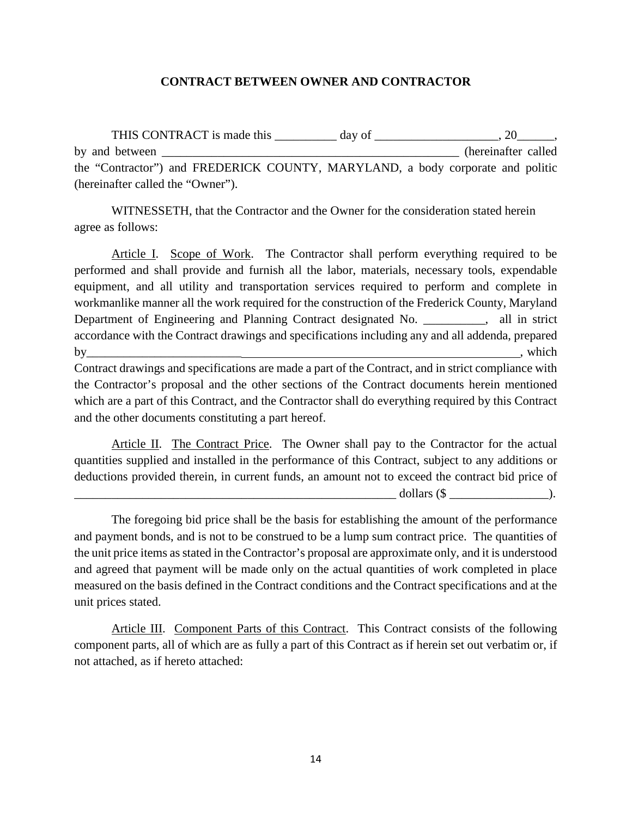#### **CONTRACT BETWEEN OWNER AND CONTRACTOR**

THIS CONTRACT is made this \_\_\_\_\_\_\_\_\_\_ day of \_\_\_\_\_\_\_\_\_\_\_\_\_\_\_\_\_\_, 20\_\_\_\_\_\_, by and between \_\_\_\_\_\_\_\_\_\_\_\_\_\_\_\_\_\_\_\_\_\_\_\_\_\_\_\_\_\_\_\_\_\_\_\_\_\_\_\_\_\_\_\_\_\_\_\_ (hereinafter called the "Contractor") and FREDERICK COUNTY, MARYLAND, a body corporate and politic (hereinafter called the "Owner").

WITNESSETH, that the Contractor and the Owner for the consideration stated herein agree as follows:

Article I. Scope of Work. The Contractor shall perform everything required to be performed and shall provide and furnish all the labor, materials, necessary tools, expendable equipment, and all utility and transportation services required to perform and complete in workmanlike manner all the work required for the construction of the Frederick County, Maryland Department of Engineering and Planning Contract designated No.  $\qquad \qquad$ , all in strict accordance with the Contract drawings and specifications including any and all addenda, prepared by\_\_\_\_\_\_\_\_\_\_\_\_\_\_\_\_\_\_\_\_\_\_\_\_\_ , which

Contract drawings and specifications are made a part of the Contract, and in strict compliance with the Contractor's proposal and the other sections of the Contract documents herein mentioned which are a part of this Contract, and the Contractor shall do everything required by this Contract and the other documents constituting a part hereof.

Article II. The Contract Price. The Owner shall pay to the Contractor for the actual quantities supplied and installed in the performance of this Contract, subject to any additions or deductions provided therein, in current funds, an amount not to exceed the contract bid price of  $\text{dollars } (\text{\$} \qquad \qquad ).$ 

The foregoing bid price shall be the basis for establishing the amount of the performance and payment bonds, and is not to be construed to be a lump sum contract price. The quantities of the unit price items as stated in the Contractor's proposal are approximate only, and it is understood and agreed that payment will be made only on the actual quantities of work completed in place measured on the basis defined in the Contract conditions and the Contract specifications and at the unit prices stated.

Article III. Component Parts of this Contract. This Contract consists of the following component parts, all of which are as fully a part of this Contract as if herein set out verbatim or, if not attached, as if hereto attached: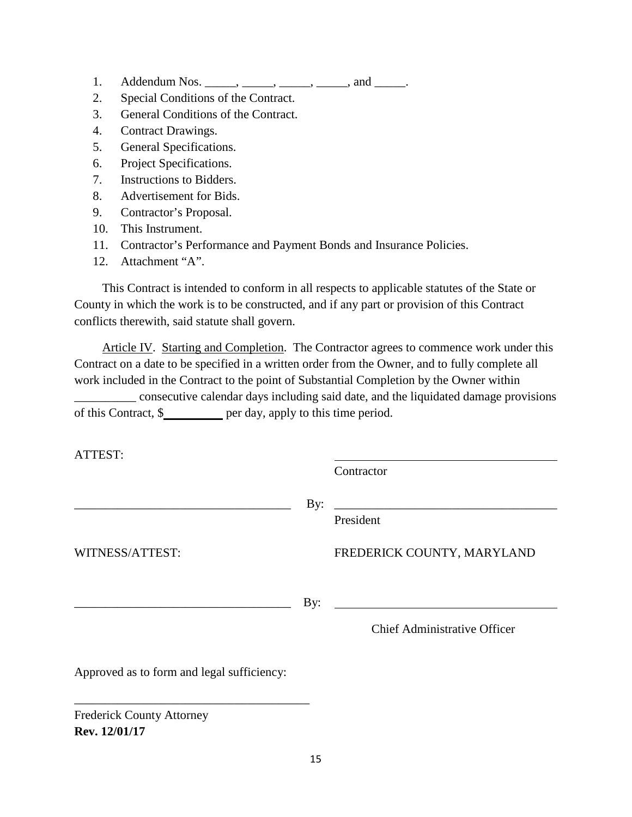- 1. Addendum Nos.  $\frac{1}{\sqrt{1-\frac{1}{2}}}$ ,  $\frac{1}{\sqrt{1-\frac{1}{2}}}$ , and  $\frac{1}{\sqrt{1-\frac{1}{2}}}$ .
- 2. Special Conditions of the Contract.
- 3. General Conditions of the Contract.
- 4. Contract Drawings.
- 5. General Specifications.
- 6. Project Specifications.
- 7. Instructions to Bidders.
- 8. Advertisement for Bids.
- 9. Contractor's Proposal.
- 10. This Instrument.
- 11. Contractor's Performance and Payment Bonds and Insurance Policies.
- 12. Attachment "A".

This Contract is intended to conform in all respects to applicable statutes of the State or County in which the work is to be constructed, and if any part or provision of this Contract conflicts therewith, said statute shall govern.

Article IV. Starting and Completion. The Contractor agrees to commence work under this Contract on a date to be specified in a written order from the Owner, and to fully complete all work included in the Contract to the point of Substantial Completion by the Owner within \_\_\_\_\_\_\_\_\_\_ consecutive calendar days including said date, and the liquidated damage provisions of this Contract, \$

ATTEST:

Contractor

\_\_\_\_\_\_\_\_\_\_\_\_\_\_\_\_\_\_\_\_\_\_\_\_\_\_\_\_\_\_\_\_\_\_\_ By: \_\_\_\_\_\_\_\_\_\_\_\_\_\_\_\_\_\_\_\_\_\_\_\_\_\_\_\_\_\_\_\_\_\_\_\_ President

WITNESS/ATTEST: FREDERICK COUNTY, MARYLAND

\_\_\_\_\_\_\_\_\_\_\_\_\_\_\_\_\_\_\_\_\_\_\_\_\_\_\_\_\_\_\_\_\_\_\_ By:

Chief Administrative Officer

Approved as to form and legal sufficiency:

\_\_\_\_\_\_\_\_\_\_\_\_\_\_\_\_\_\_\_\_\_\_\_\_\_\_\_\_\_\_\_\_\_\_\_\_\_\_

Frederick County Attorney **Rev. 12/01/17**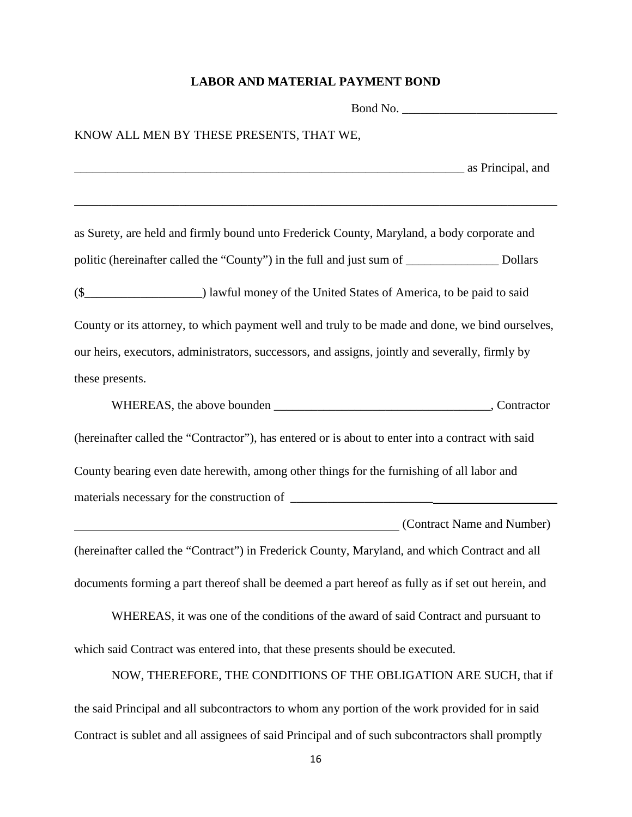## **LABOR AND MATERIAL PAYMENT BOND**

| KNOW ALL MEN BY THESE PRESENTS, THAT WE,                                                                                                                                                                                       |  |  |  |  |
|--------------------------------------------------------------------------------------------------------------------------------------------------------------------------------------------------------------------------------|--|--|--|--|
| as Principal, and a principal, and a principal and a principal and a principal and a principal and a principal and a principal and a principal and a principal and a principal and a principal and a principal and a principal |  |  |  |  |
| as Surety, are held and firmly bound unto Frederick County, Maryland, a body corporate and                                                                                                                                     |  |  |  |  |
| politic (hereinafter called the "County") in the full and just sum of __________________ Dollars                                                                                                                               |  |  |  |  |
|                                                                                                                                                                                                                                |  |  |  |  |
| County or its attorney, to which payment well and truly to be made and done, we bind ourselves,                                                                                                                                |  |  |  |  |
| our heirs, executors, administrators, successors, and assigns, jointly and severally, firmly by                                                                                                                                |  |  |  |  |
| these presents.                                                                                                                                                                                                                |  |  |  |  |
|                                                                                                                                                                                                                                |  |  |  |  |
| (hereinafter called the "Contractor"), has entered or is about to enter into a contract with said                                                                                                                              |  |  |  |  |
| County bearing even date herewith, among other things for the furnishing of all labor and                                                                                                                                      |  |  |  |  |
|                                                                                                                                                                                                                                |  |  |  |  |
| (Contract Name and Number)                                                                                                                                                                                                     |  |  |  |  |
| (hereinafter called the "Contract") in Frederick County, Maryland, and which Contract and all                                                                                                                                  |  |  |  |  |
| documents forming a part thereof shall be deemed a part hereof as fully as if set out herein, and                                                                                                                              |  |  |  |  |
| WHEREAS, it was one of the conditions of the award of said Contract and pursuant to                                                                                                                                            |  |  |  |  |
| which said Contract was entered into, that these presents should be executed.                                                                                                                                                  |  |  |  |  |
| NOW, THEREFORE, THE CONDITIONS OF THE OBLIGATION ARE SUCH, that if                                                                                                                                                             |  |  |  |  |

the said Principal and all subcontractors to whom any portion of the work provided for in said Contract is sublet and all assignees of said Principal and of such subcontractors shall promptly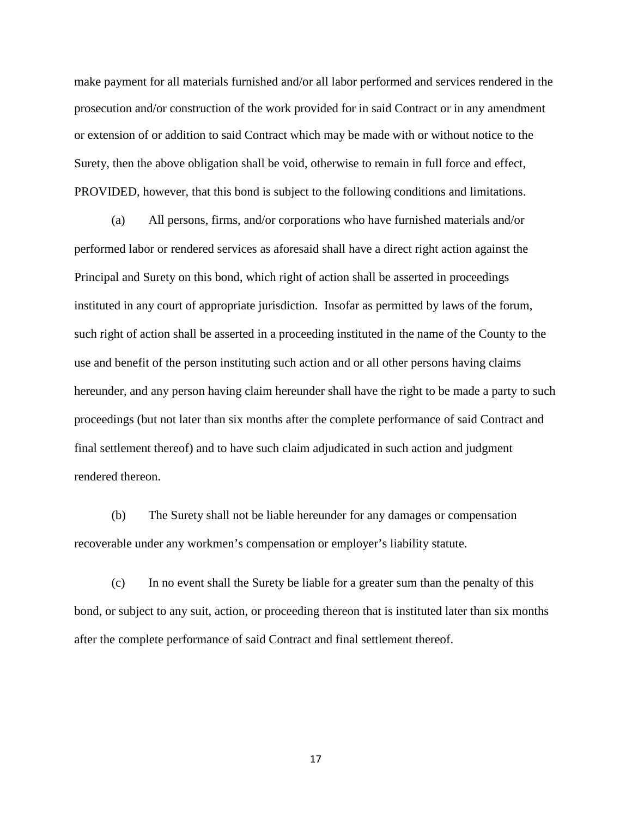make payment for all materials furnished and/or all labor performed and services rendered in the prosecution and/or construction of the work provided for in said Contract or in any amendment or extension of or addition to said Contract which may be made with or without notice to the Surety, then the above obligation shall be void, otherwise to remain in full force and effect, PROVIDED, however, that this bond is subject to the following conditions and limitations.

(a) All persons, firms, and/or corporations who have furnished materials and/or performed labor or rendered services as aforesaid shall have a direct right action against the Principal and Surety on this bond, which right of action shall be asserted in proceedings instituted in any court of appropriate jurisdiction. Insofar as permitted by laws of the forum, such right of action shall be asserted in a proceeding instituted in the name of the County to the use and benefit of the person instituting such action and or all other persons having claims hereunder, and any person having claim hereunder shall have the right to be made a party to such proceedings (but not later than six months after the complete performance of said Contract and final settlement thereof) and to have such claim adjudicated in such action and judgment rendered thereon.

(b) The Surety shall not be liable hereunder for any damages or compensation recoverable under any workmen's compensation or employer's liability statute.

(c) In no event shall the Surety be liable for a greater sum than the penalty of this bond, or subject to any suit, action, or proceeding thereon that is instituted later than six months after the complete performance of said Contract and final settlement thereof.

17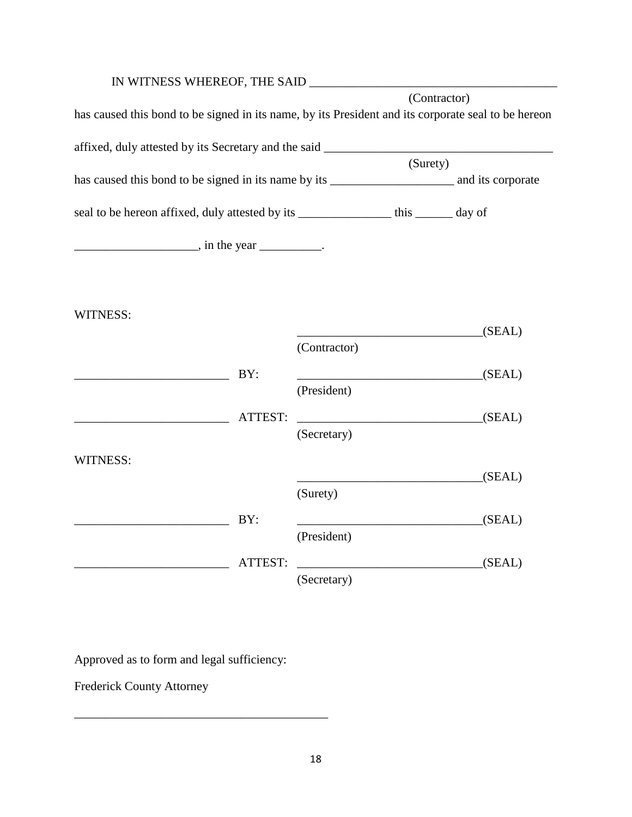| IN WITNESS WHEREOF, THE SAID                                                                        |         |              |              |        |
|-----------------------------------------------------------------------------------------------------|---------|--------------|--------------|--------|
|                                                                                                     |         |              | (Contractor) |        |
| has caused this bond to be signed in its name, by its President and its corporate seal to be hereon |         |              |              |        |
|                                                                                                     |         |              |              |        |
| affixed, duly attested by its Secretary and the said ____________________________                   |         |              |              |        |
|                                                                                                     |         |              | (Surety)     |        |
|                                                                                                     |         |              |              |        |
|                                                                                                     |         |              |              |        |
| seal to be hereon affixed, duly attested by its ________________ this _______ day of                |         |              |              |        |
|                                                                                                     |         |              |              |        |
| $\frac{1}{2}$ , in the year __________.                                                             |         |              |              |        |
|                                                                                                     |         |              |              |        |
|                                                                                                     |         |              |              |        |
|                                                                                                     |         |              |              |        |
| <b>WITNESS:</b>                                                                                     |         |              |              |        |
|                                                                                                     |         |              |              |        |
|                                                                                                     |         | (Contractor) |              | (SEAL) |
|                                                                                                     |         |              |              |        |
|                                                                                                     | BY:     |              |              | (SEAL) |
|                                                                                                     |         | (President)  |              |        |
|                                                                                                     |         |              |              |        |
|                                                                                                     | ATTEST: | (SEAL)       |              |        |
|                                                                                                     |         | (Secretary)  |              |        |
| <b>WITNESS:</b>                                                                                     |         |              |              |        |
|                                                                                                     |         |              |              | (SEAL) |
|                                                                                                     |         | (Surety)     |              |        |
|                                                                                                     |         |              |              |        |
|                                                                                                     | BY:     |              |              | (SEAL) |
|                                                                                                     |         | (President)  |              |        |
|                                                                                                     |         |              |              |        |
|                                                                                                     | ATTEST: |              |              | (SEAL) |
|                                                                                                     |         | (Secretary)  |              |        |

Approved as to form and legal sufficiency:

\_\_\_\_\_\_\_\_\_\_\_\_\_\_\_\_\_\_\_\_\_\_\_\_\_\_\_\_\_\_\_\_\_\_\_\_\_\_\_\_\_

Frederick County Attorney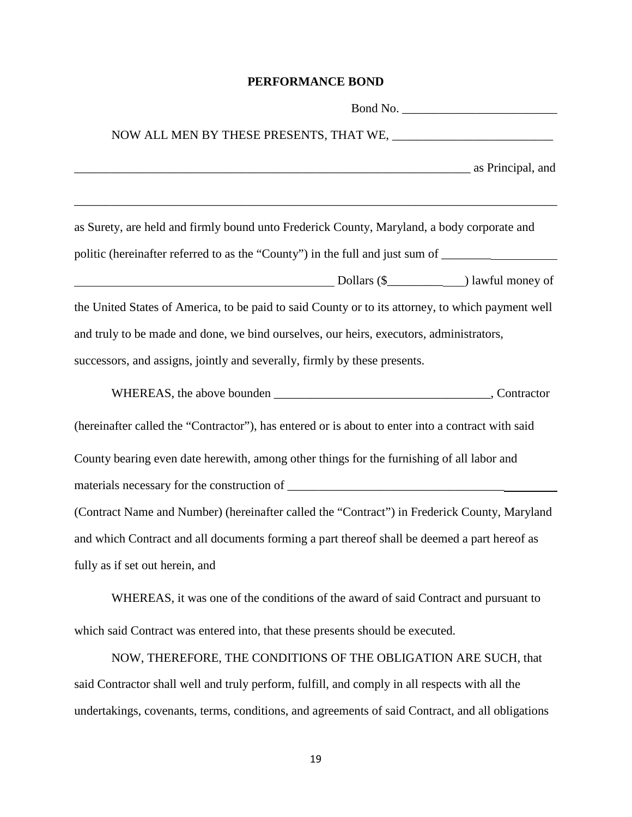#### **PERFORMANCE BOND**

| as Principal, and a series of the series of the series of the series of the series of the series of the series |
|----------------------------------------------------------------------------------------------------------------|
| as Surety, are held and firmly bound unto Frederick County, Maryland, a body corporate and                     |
| politic (hereinafter referred to as the "County") in the full and just sum of _________                        |
|                                                                                                                |
| the United States of America, to be paid to said County or to its attorney, to which payment well              |
| and truly to be made and done, we bind ourselves, our heirs, executors, administrators,                        |
| successors, and assigns, jointly and severally, firmly by these presents.                                      |
|                                                                                                                |
| (hereinafter called the "Contractor"), has entered or is about to enter into a contract with said              |
| County bearing even date herewith, among other things for the furnishing of all labor and                      |
|                                                                                                                |
| (Contract Name and Number) (hereinafter called the "Contract") in Frederick County, Maryland                   |
| and which Contract and all documents forming a part thereof shall be deemed a part hereof as                   |
| fully as if set out herein, and                                                                                |

WHEREAS, it was one of the conditions of the award of said Contract and pursuant to which said Contract was entered into, that these presents should be executed.

NOW, THEREFORE, THE CONDITIONS OF THE OBLIGATION ARE SUCH, that said Contractor shall well and truly perform, fulfill, and comply in all respects with all the undertakings, covenants, terms, conditions, and agreements of said Contract, and all obligations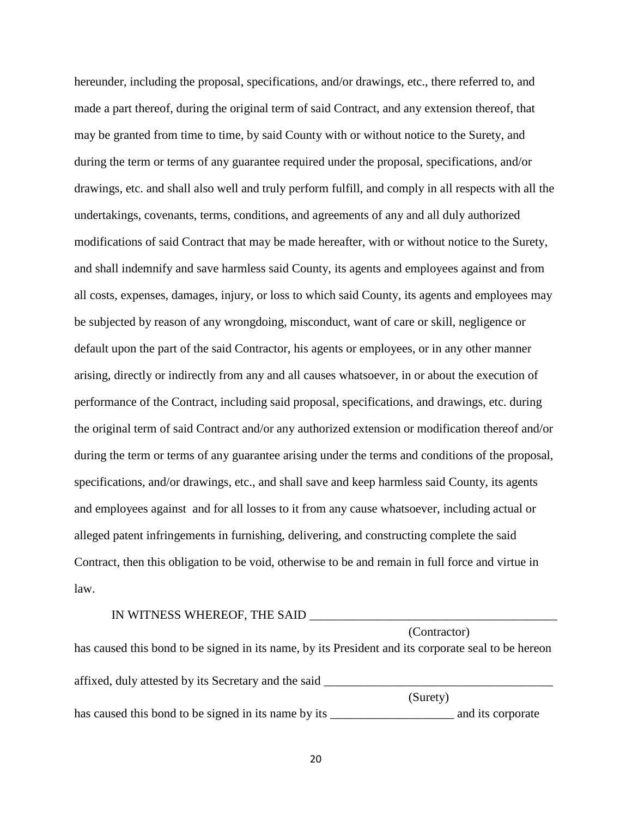hereunder, including the proposal, specifications, and/or drawings, etc., there referred to, and made a part thereof, during the original term of said Contract, and any extension thereof, that may be granted from time to time, by said County with or without notice to the Surety, and during the term or terms of any guarantee required under the proposal, specifications, and/or drawings, etc. and shall also well and truly perform fulfill, and comply in all respects with all the undertakings, covenants, terms, conditions, and agreements of any and all duly authorized modifications of said Contract that may be made hereafter, with or without notice to the Surety, and shall indemnify and save harmless said County, its agents and employees against and from all costs, expenses, damages, injury, or loss to which said County, its agents and employees may be subjected by reason of any wrongdoing, misconduct, want of care or skill, negligence or default upon the part of the said Contractor, his agents or employees, or in any other manner arising, directly or indirectly from any and all causes whatsoever, in or about the execution of performance of the Contract, including said proposal, specifications, and drawings, etc. during the original term of said Contract and/or any authorized extension or modification thereof and/or during the term or terms of any guarantee arising under the terms and conditions of the proposal, specifications, and/or drawings, etc., and shall save and keep harmless said County, its agents and employees against and for all losses to it from any cause whatsoever, including actual or alleged patent infringements in furnishing, delivering, and constructing complete the said Contract, then this obligation to be void, otherwise to be and remain in full force and virtue in law.

#### IN WITNESS WHEREOF, THE SAID \_\_\_\_\_\_\_\_\_\_\_\_\_\_\_\_\_\_\_\_\_\_\_\_\_\_\_\_\_\_\_\_\_\_\_\_\_\_\_\_

(Contractor) has caused this bond to be signed in its name, by its President and its corporate seal to be hereon affixed, duly attested by its Secretary and the said \_\_\_\_\_\_\_\_\_\_\_\_\_\_\_\_\_\_\_\_\_\_\_\_\_\_\_\_\_\_\_\_\_\_\_\_\_ (Surety) has caused this bond to be signed in its name by its \_\_\_\_\_\_\_\_\_\_\_\_\_\_\_\_\_\_\_\_\_\_\_\_\_\_\_\_ and its corporate

20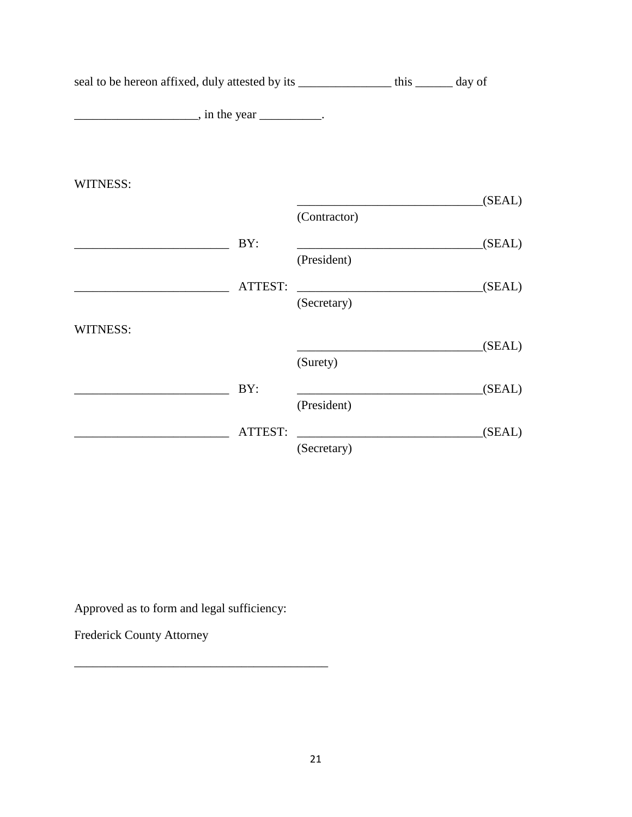| seal to be hereon affixed, duly attested by its ___________________ this ________ day of |                                                                                                                                     |        |
|------------------------------------------------------------------------------------------|-------------------------------------------------------------------------------------------------------------------------------------|--------|
| $\frac{1}{\sqrt{1-\frac{1}{2}}}\sin \theta$ in the year ___________.                     |                                                                                                                                     |        |
|                                                                                          |                                                                                                                                     |        |
| WITNESS:                                                                                 |                                                                                                                                     | (SEAL) |
|                                                                                          | (Contractor)                                                                                                                        |        |
| BY:                                                                                      |                                                                                                                                     | (SEAL) |
|                                                                                          | (President)                                                                                                                         |        |
| ATTEST:                                                                                  | <u> 1989 - Jan James James James James James James James James James James James James James James James James J</u><br>(Secretary) | (SEAL) |
| WITNESS:                                                                                 |                                                                                                                                     |        |
|                                                                                          | (Surety)                                                                                                                            | (SEAL) |
| BY:                                                                                      |                                                                                                                                     | (SEAL) |
|                                                                                          | (President)                                                                                                                         |        |
| ATTEST:                                                                                  |                                                                                                                                     | (SEAL) |
|                                                                                          | (Secretary)                                                                                                                         |        |

Approved as to form and legal sufficiency:

\_\_\_\_\_\_\_\_\_\_\_\_\_\_\_\_\_\_\_\_\_\_\_\_\_\_\_\_\_\_\_\_\_\_\_\_\_\_\_\_\_

Frederick County Attorney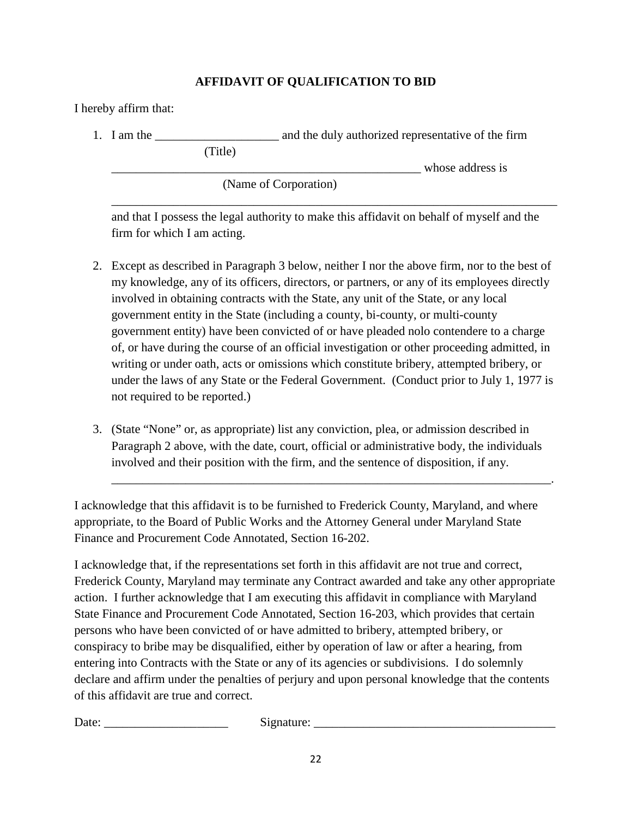## **AFFIDAVIT OF QUALIFICATION TO BID**

I hereby affirm that:

1. I am the \_\_\_\_\_\_\_\_\_\_\_\_\_\_\_\_\_\_\_\_ and the duly authorized representative of the firm

(Title)

whose address is

(Name of Corporation)

and that I possess the legal authority to make this affidavit on behalf of myself and the firm for which I am acting.

\_\_\_\_\_\_\_\_\_\_\_\_\_\_\_\_\_\_\_\_\_\_\_\_\_\_\_\_\_\_\_\_\_\_\_\_\_\_\_\_\_\_\_\_\_\_\_\_\_\_\_\_\_\_\_\_\_\_\_\_\_\_\_\_\_\_\_\_\_\_\_\_

- 2. Except as described in Paragraph 3 below, neither I nor the above firm, nor to the best of my knowledge, any of its officers, directors, or partners, or any of its employees directly involved in obtaining contracts with the State, any unit of the State, or any local government entity in the State (including a county, bi-county, or multi-county government entity) have been convicted of or have pleaded nolo contendere to a charge of, or have during the course of an official investigation or other proceeding admitted, in writing or under oath, acts or omissions which constitute bribery, attempted bribery, or under the laws of any State or the Federal Government. (Conduct prior to July 1, 1977 is not required to be reported.)
- 3. (State "None" or, as appropriate) list any conviction, plea, or admission described in Paragraph 2 above, with the date, court, official or administrative body, the individuals involved and their position with the firm, and the sentence of disposition, if any.

\_\_\_\_\_\_\_\_\_\_\_\_\_\_\_\_\_\_\_\_\_\_\_\_\_\_\_\_\_\_\_\_\_\_\_\_\_\_\_\_\_\_\_\_\_\_\_\_\_\_\_\_\_\_\_\_\_\_\_\_\_\_\_\_\_\_\_\_\_\_\_.

I acknowledge that this affidavit is to be furnished to Frederick County, Maryland, and where appropriate, to the Board of Public Works and the Attorney General under Maryland State Finance and Procurement Code Annotated, Section 16-202.

I acknowledge that, if the representations set forth in this affidavit are not true and correct, Frederick County, Maryland may terminate any Contract awarded and take any other appropriate action. I further acknowledge that I am executing this affidavit in compliance with Maryland State Finance and Procurement Code Annotated, Section 16-203, which provides that certain persons who have been convicted of or have admitted to bribery, attempted bribery, or conspiracy to bribe may be disqualified, either by operation of law or after a hearing, from entering into Contracts with the State or any of its agencies or subdivisions. I do solemnly declare and affirm under the penalties of perjury and upon personal knowledge that the contents of this affidavit are true and correct.

Date: \_\_\_\_\_\_\_\_\_\_\_\_\_\_\_\_\_\_\_\_ Signature: \_\_\_\_\_\_\_\_\_\_\_\_\_\_\_\_\_\_\_\_\_\_\_\_\_\_\_\_\_\_\_\_\_\_\_\_\_\_\_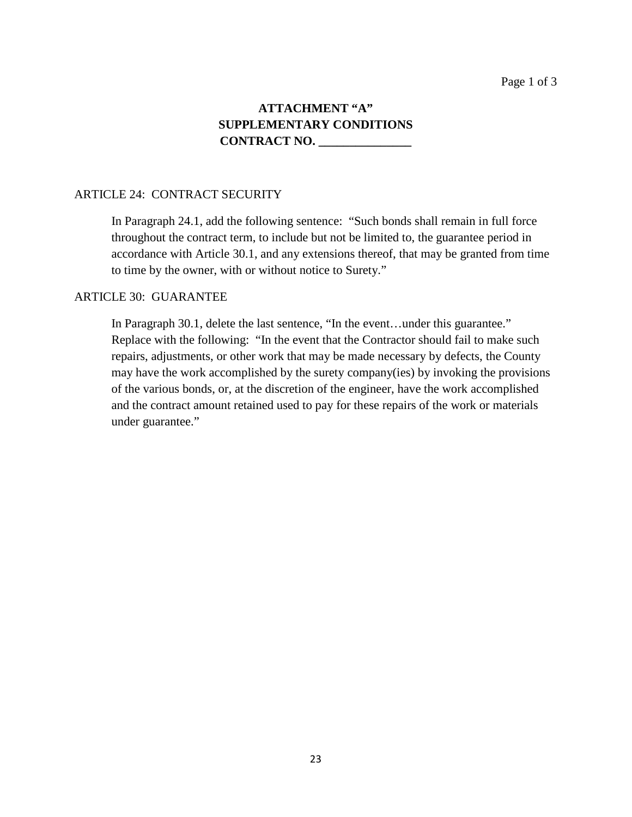## **ATTACHMENT "A" SUPPLEMENTARY CONDITIONS CONTRACT NO. \_\_\_\_\_\_\_\_\_\_\_\_\_\_\_**

#### ARTICLE 24: CONTRACT SECURITY

In Paragraph 24.1, add the following sentence: "Such bonds shall remain in full force throughout the contract term, to include but not be limited to, the guarantee period in accordance with Article 30.1, and any extensions thereof, that may be granted from time to time by the owner, with or without notice to Surety."

#### ARTICLE 30: GUARANTEE

In Paragraph 30.1, delete the last sentence, "In the event…under this guarantee." Replace with the following: "In the event that the Contractor should fail to make such repairs, adjustments, or other work that may be made necessary by defects, the County may have the work accomplished by the surety company(ies) by invoking the provisions of the various bonds, or, at the discretion of the engineer, have the work accomplished and the contract amount retained used to pay for these repairs of the work or materials under guarantee."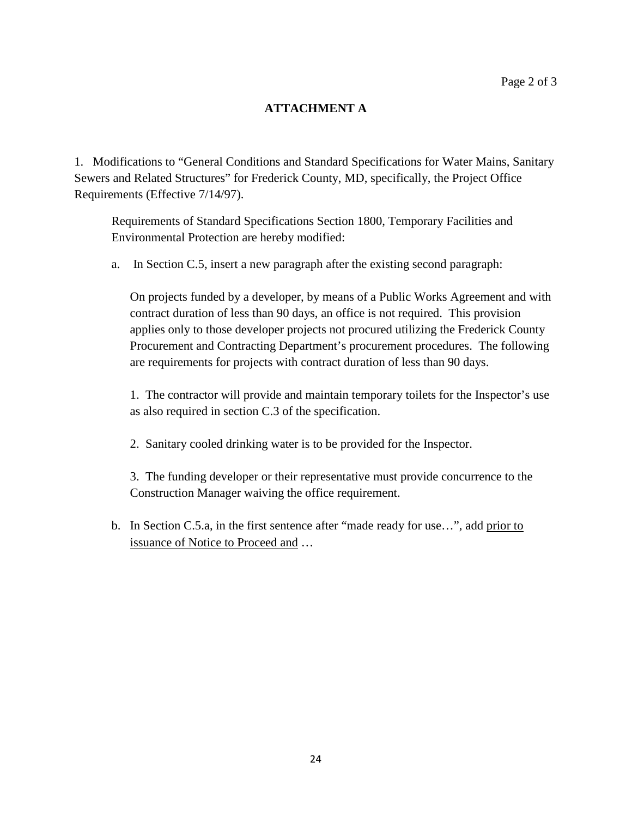## **ATTACHMENT A**

1. Modifications to "General Conditions and Standard Specifications for Water Mains, Sanitary Sewers and Related Structures" for Frederick County, MD, specifically, the Project Office Requirements (Effective 7/14/97).

Requirements of Standard Specifications Section 1800, Temporary Facilities and Environmental Protection are hereby modified:

a. In Section C.5, insert a new paragraph after the existing second paragraph:

On projects funded by a developer, by means of a Public Works Agreement and with contract duration of less than 90 days, an office is not required. This provision applies only to those developer projects not procured utilizing the Frederick County Procurement and Contracting Department's procurement procedures. The following are requirements for projects with contract duration of less than 90 days.

1. The contractor will provide and maintain temporary toilets for the Inspector's use as also required in section C.3 of the specification.

2. Sanitary cooled drinking water is to be provided for the Inspector.

3. The funding developer or their representative must provide concurrence to the Construction Manager waiving the office requirement.

b. In Section C.5.a, in the first sentence after "made ready for use...", add prior to issuance of Notice to Proceed and …